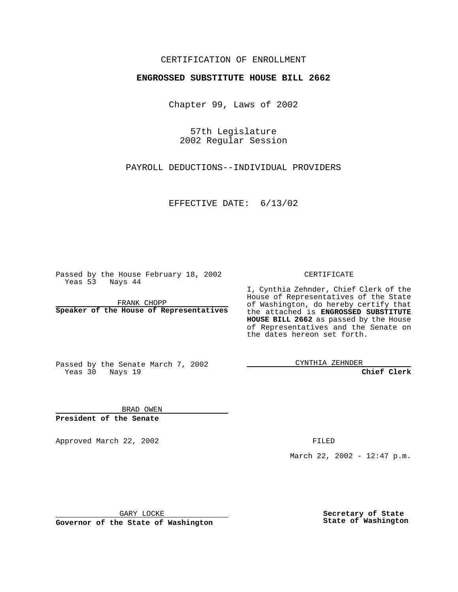## CERTIFICATION OF ENROLLMENT

## **ENGROSSED SUBSTITUTE HOUSE BILL 2662**

Chapter 99, Laws of 2002

57th Legislature 2002 Regular Session

PAYROLL DEDUCTIONS--INDIVIDUAL PROVIDERS

EFFECTIVE DATE: 6/13/02

Passed by the House February 18, 2002 Yeas 53 Nays 44

FRANK CHOPP **Speaker of the House of Representatives** CERTIFICATE

I, Cynthia Zehnder, Chief Clerk of the House of Representatives of the State of Washington, do hereby certify that the attached is **ENGROSSED SUBSTITUTE HOUSE BILL 2662** as passed by the House of Representatives and the Senate on the dates hereon set forth.

Passed by the Senate March 7, 2002 Yeas 30 Nays 19

CYNTHIA ZEHNDER

**Chief Clerk**

BRAD OWEN **President of the Senate**

Approved March 22, 2002 **FILED** 

March 22, 2002 - 12:47 p.m.

GARY LOCKE

**Governor of the State of Washington**

**Secretary of State State of Washington**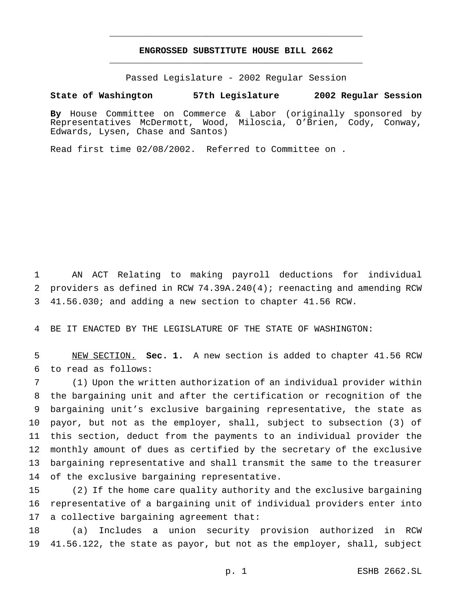## **ENGROSSED SUBSTITUTE HOUSE BILL 2662** \_\_\_\_\_\_\_\_\_\_\_\_\_\_\_\_\_\_\_\_\_\_\_\_\_\_\_\_\_\_\_\_\_\_\_\_\_\_\_\_\_\_\_\_\_\_\_

\_\_\_\_\_\_\_\_\_\_\_\_\_\_\_\_\_\_\_\_\_\_\_\_\_\_\_\_\_\_\_\_\_\_\_\_\_\_\_\_\_\_\_\_\_\_\_

Passed Legislature - 2002 Regular Session

## **State of Washington 57th Legislature 2002 Regular Session**

**By** House Committee on Commerce & Labor (originally sponsored by Representatives McDermott, Wood, Miloscia, O'Brien, Cody, Conway, Edwards, Lysen, Chase and Santos)

Read first time 02/08/2002. Referred to Committee on .

 AN ACT Relating to making payroll deductions for individual providers as defined in RCW 74.39A.240(4); reenacting and amending RCW 41.56.030; and adding a new section to chapter 41.56 RCW.

BE IT ENACTED BY THE LEGISLATURE OF THE STATE OF WASHINGTON:

 NEW SECTION. **Sec. 1.** A new section is added to chapter 41.56 RCW to read as follows:

 (1) Upon the written authorization of an individual provider within the bargaining unit and after the certification or recognition of the bargaining unit's exclusive bargaining representative, the state as payor, but not as the employer, shall, subject to subsection (3) of this section, deduct from the payments to an individual provider the monthly amount of dues as certified by the secretary of the exclusive bargaining representative and shall transmit the same to the treasurer of the exclusive bargaining representative.

 (2) If the home care quality authority and the exclusive bargaining representative of a bargaining unit of individual providers enter into a collective bargaining agreement that:

 (a) Includes a union security provision authorized in RCW 41.56.122, the state as payor, but not as the employer, shall, subject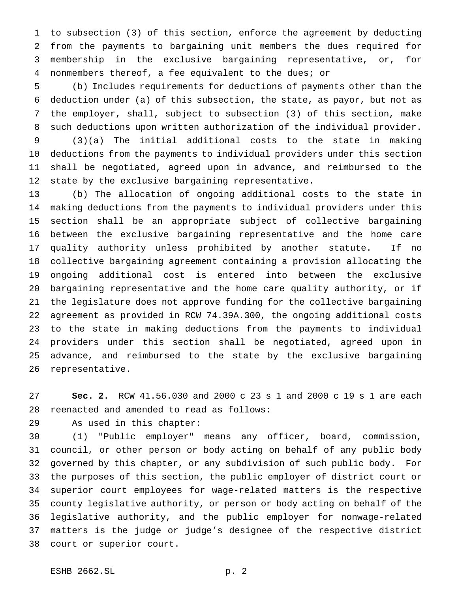to subsection (3) of this section, enforce the agreement by deducting from the payments to bargaining unit members the dues required for membership in the exclusive bargaining representative, or, for nonmembers thereof, a fee equivalent to the dues; or

 (b) Includes requirements for deductions of payments other than the deduction under (a) of this subsection, the state, as payor, but not as the employer, shall, subject to subsection (3) of this section, make such deductions upon written authorization of the individual provider.

 (3)(a) The initial additional costs to the state in making deductions from the payments to individual providers under this section shall be negotiated, agreed upon in advance, and reimbursed to the state by the exclusive bargaining representative.

 (b) The allocation of ongoing additional costs to the state in making deductions from the payments to individual providers under this section shall be an appropriate subject of collective bargaining between the exclusive bargaining representative and the home care quality authority unless prohibited by another statute. If no collective bargaining agreement containing a provision allocating the ongoing additional cost is entered into between the exclusive bargaining representative and the home care quality authority, or if the legislature does not approve funding for the collective bargaining agreement as provided in RCW 74.39A.300, the ongoing additional costs to the state in making deductions from the payments to individual providers under this section shall be negotiated, agreed upon in advance, and reimbursed to the state by the exclusive bargaining representative.

 **Sec. 2.** RCW 41.56.030 and 2000 c 23 s 1 and 2000 c 19 s 1 are each reenacted and amended to read as follows:

As used in this chapter:

 (1) "Public employer" means any officer, board, commission, council, or other person or body acting on behalf of any public body governed by this chapter, or any subdivision of such public body. For the purposes of this section, the public employer of district court or superior court employees for wage-related matters is the respective county legislative authority, or person or body acting on behalf of the legislative authority, and the public employer for nonwage-related matters is the judge or judge's designee of the respective district court or superior court.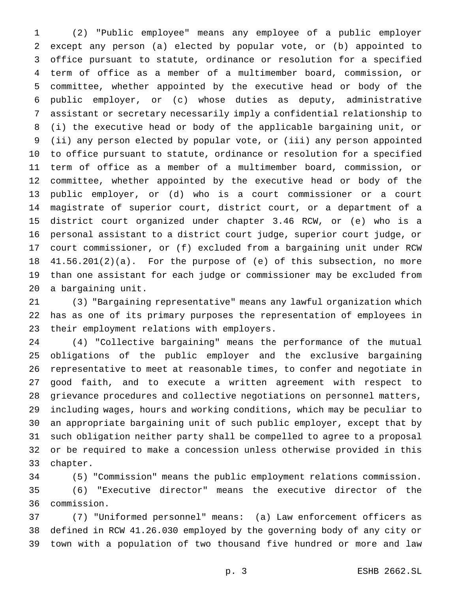(2) "Public employee" means any employee of a public employer except any person (a) elected by popular vote, or (b) appointed to office pursuant to statute, ordinance or resolution for a specified term of office as a member of a multimember board, commission, or committee, whether appointed by the executive head or body of the public employer, or (c) whose duties as deputy, administrative assistant or secretary necessarily imply a confidential relationship to (i) the executive head or body of the applicable bargaining unit, or (ii) any person elected by popular vote, or (iii) any person appointed to office pursuant to statute, ordinance or resolution for a specified term of office as a member of a multimember board, commission, or committee, whether appointed by the executive head or body of the public employer, or (d) who is a court commissioner or a court magistrate of superior court, district court, or a department of a district court organized under chapter 3.46 RCW, or (e) who is a personal assistant to a district court judge, superior court judge, or court commissioner, or (f) excluded from a bargaining unit under RCW 41.56.201(2)(a). For the purpose of (e) of this subsection, no more than one assistant for each judge or commissioner may be excluded from a bargaining unit.

 (3) "Bargaining representative" means any lawful organization which has as one of its primary purposes the representation of employees in their employment relations with employers.

 (4) "Collective bargaining" means the performance of the mutual obligations of the public employer and the exclusive bargaining representative to meet at reasonable times, to confer and negotiate in good faith, and to execute a written agreement with respect to grievance procedures and collective negotiations on personnel matters, including wages, hours and working conditions, which may be peculiar to an appropriate bargaining unit of such public employer, except that by such obligation neither party shall be compelled to agree to a proposal or be required to make a concession unless otherwise provided in this chapter.

 (5) "Commission" means the public employment relations commission. (6) "Executive director" means the executive director of the commission.

 (7) "Uniformed personnel" means: (a) Law enforcement officers as defined in RCW 41.26.030 employed by the governing body of any city or town with a population of two thousand five hundred or more and law